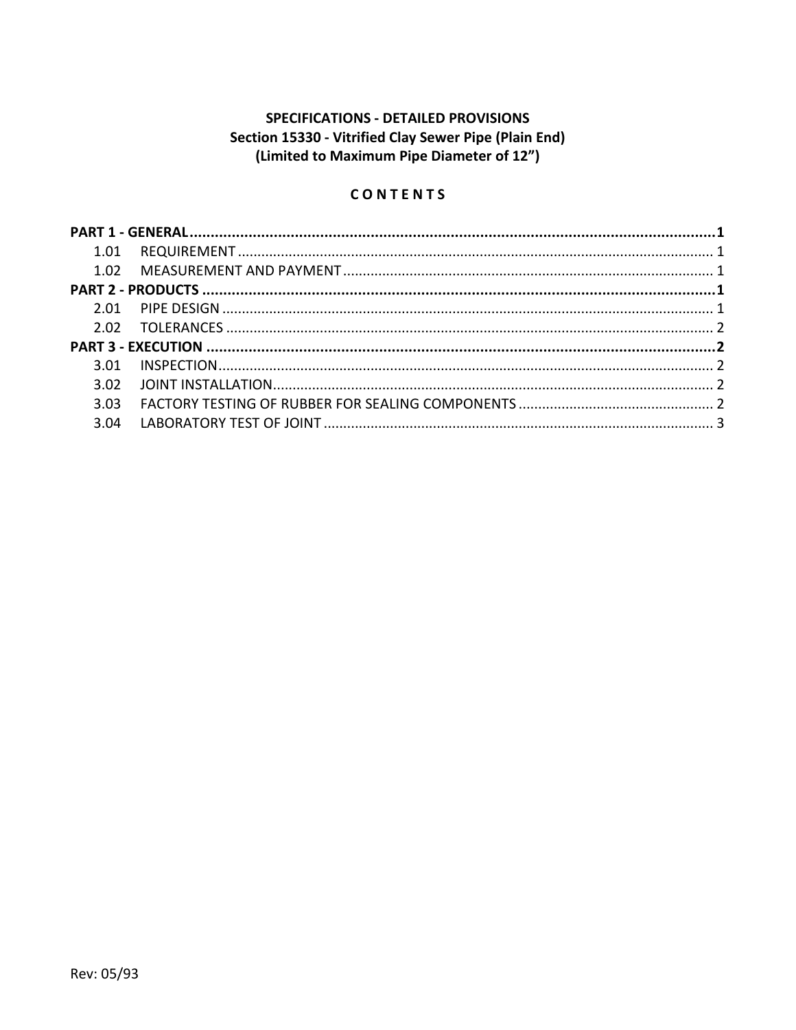# **SPECIFICATIONS - DETAILED PROVISIONS** Section 15330 - Vitrified Clay Sewer Pipe (Plain End) (Limited to Maximum Pipe Diameter of 12")

# CONTENTS

| 3.01 |  |
|------|--|
| 3.02 |  |
| 3.03 |  |
| 3.04 |  |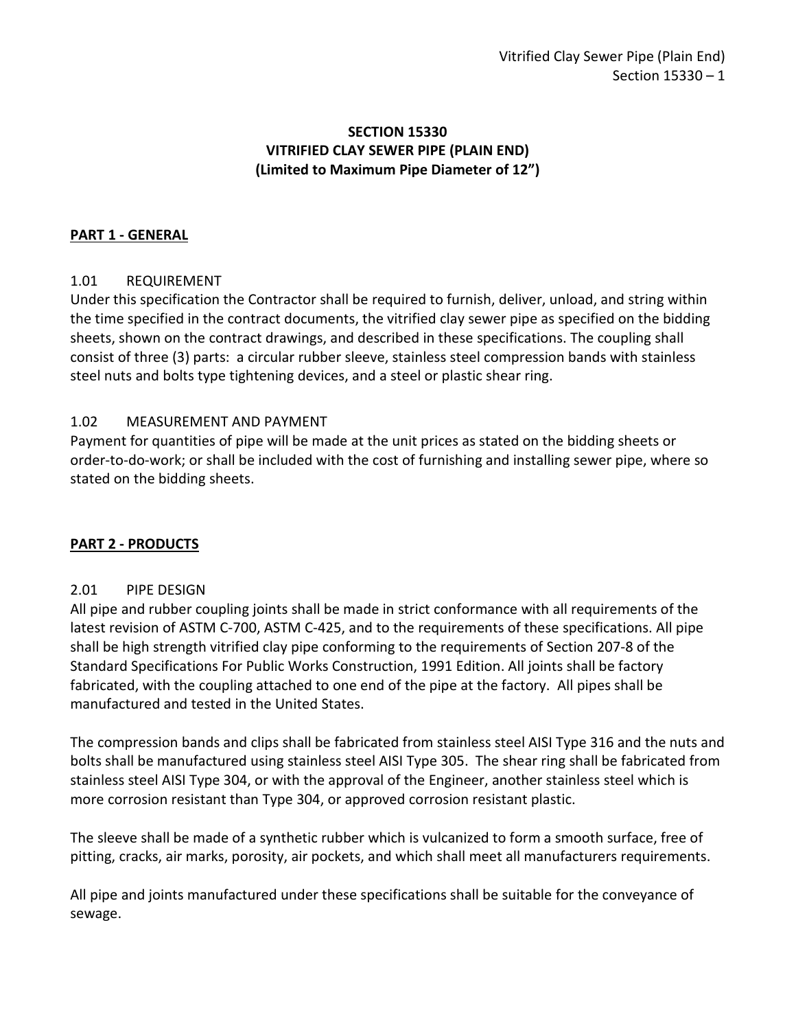# **SECTION 15330 VITRIFIED CLAY SEWER PIPE (PLAIN END) (Limited to Maximum Pipe Diameter of 12")**

## <span id="page-2-0"></span>**PART 1 - GENERAL**

## <span id="page-2-1"></span>1.01 REQUIREMENT

Under this specification the Contractor shall be required to furnish, deliver, unload, and string within the time specified in the contract documents, the vitrified clay sewer pipe as specified on the bidding sheets, shown on the contract drawings, and described in these specifications. The coupling shall consist of three (3) parts: a circular rubber sleeve, stainless steel compression bands with stainless steel nuts and bolts type tightening devices, and a steel or plastic shear ring.

## <span id="page-2-2"></span>1.02 MEASUREMENT AND PAYMENT

Payment for quantities of pipe will be made at the unit prices as stated on the bidding sheets or order-to-do-work; or shall be included with the cost of furnishing and installing sewer pipe, where so stated on the bidding sheets.

## <span id="page-2-3"></span>**PART 2 - PRODUCTS**

### <span id="page-2-4"></span>2.01 PIPE DESIGN

All pipe and rubber coupling joints shall be made in strict conformance with all requirements of the latest revision of ASTM C-700, ASTM C-425, and to the requirements of these specifications. All pipe shall be high strength vitrified clay pipe conforming to the requirements of Section 207-8 of the Standard Specifications For Public Works Construction, 1991 Edition. All joints shall be factory fabricated, with the coupling attached to one end of the pipe at the factory. All pipes shall be manufactured and tested in the United States.

The compression bands and clips shall be fabricated from stainless steel AISI Type 316 and the nuts and bolts shall be manufactured using stainless steel AISI Type 305. The shear ring shall be fabricated from stainless steel AISI Type 304, or with the approval of the Engineer, another stainless steel which is more corrosion resistant than Type 304, or approved corrosion resistant plastic.

The sleeve shall be made of a synthetic rubber which is vulcanized to form a smooth surface, free of pitting, cracks, air marks, porosity, air pockets, and which shall meet all manufacturers requirements.

All pipe and joints manufactured under these specifications shall be suitable for the conveyance of sewage.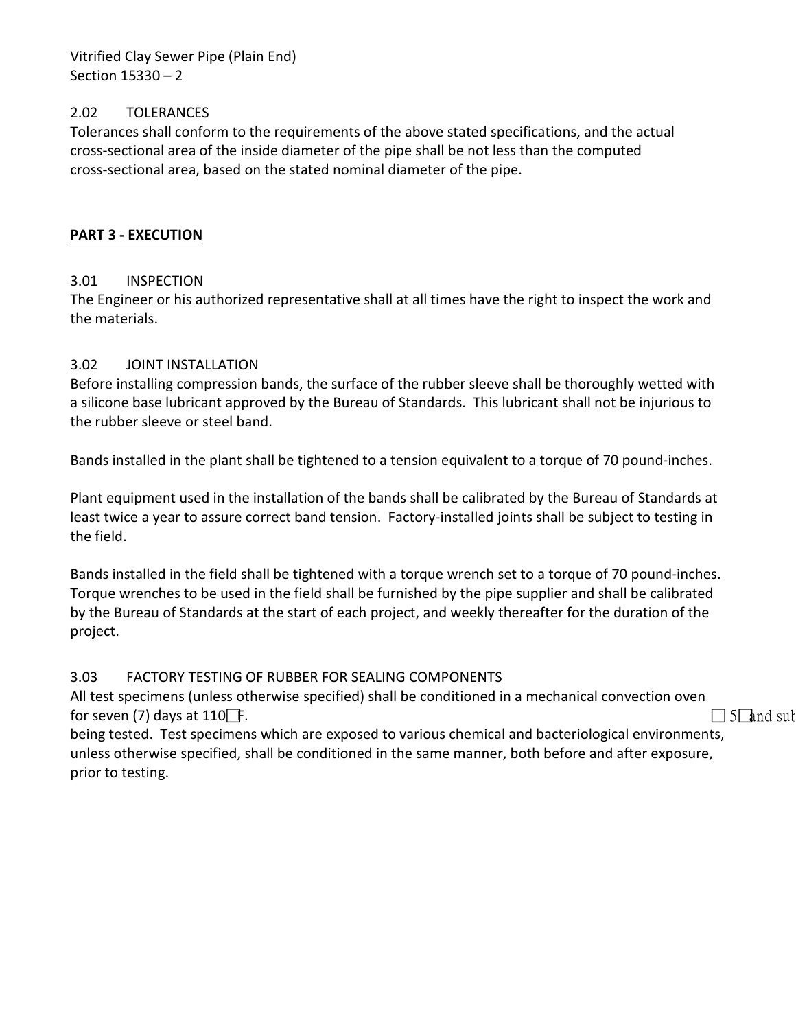Vitrified Clay Sewer Pipe (Plain End) Section 15330 – 2

### <span id="page-3-0"></span>2.02 TOLERANCES

Tolerances shall conform to the requirements of the above stated specifications, and the actual cross-sectional area of the inside diameter of the pipe shall be not less than the computed cross-sectional area, based on the stated nominal diameter of the pipe.

#### <span id="page-3-1"></span>**PART 3 - EXECUTION**

#### <span id="page-3-2"></span>3.01 INSPECTION

The Engineer or his authorized representative shall at all times have the right to inspect the work and the materials.

#### <span id="page-3-3"></span>3.02 JOINT INSTALLATION

Before installing compression bands, the surface of the rubber sleeve shall be thoroughly wetted with a silicone base lubricant approved by the Bureau of Standards. This lubricant shall not be injurious to the rubber sleeve or steel band.

Bands installed in the plant shall be tightened to a tension equivalent to a torque of 70 pound-inches.

Plant equipment used in the installation of the bands shall be calibrated by the Bureau of Standards at least twice a year to assure correct band tension. Factory-installed joints shall be subject to testing in the field.

Bands installed in the field shall be tightened with a torque wrench set to a torque of 70 pound-inches. Torque wrenches to be used in the field shall be furnished by the pipe supplier and shall be calibrated by the Bureau of Standards at the start of each project, and weekly thereafter for the duration of the project.

#### <span id="page-3-4"></span>3.03 FACTORY TESTING OF RUBBER FOR SEALING COMPONENTS

All test specimens (unless otherwise specified) shall be conditioned in a mechanical convection oven for seven (7) days at 110 F.  $\Box$  5 and sub-

being tested. Test specimens which are exposed to various chemical and bacteriological environments, unless otherwise specified, shall be conditioned in the same manner, both before and after exposure, prior to testing.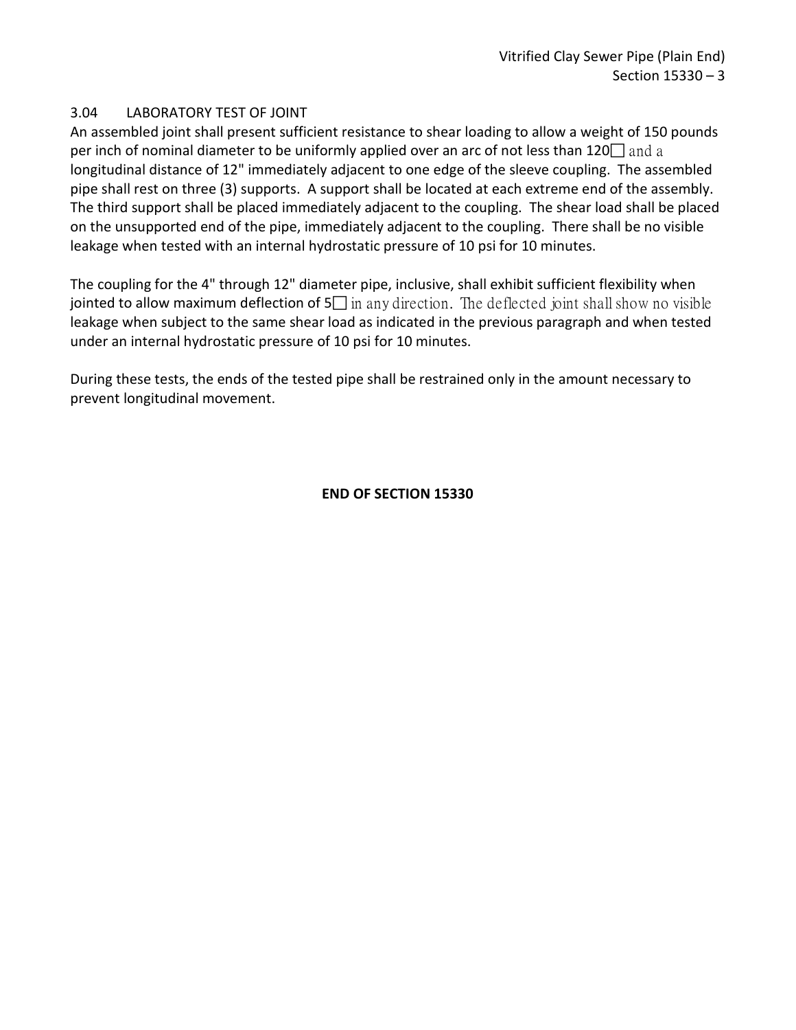## <span id="page-4-0"></span>3.04 LABORATORY TEST OF JOINT

An assembled joint shall present sufficient resistance to shear loading to allow a weight of 150 pounds per inch of nominal diameter to be uniformly applied over an arc of not less than 120  $\Box$  and a longitudinal distance of 12" immediately adjacent to one edge of the sleeve coupling. The assembled pipe shall rest on three (3) supports. A support shall be located at each extreme end of the assembly. The third support shall be placed immediately adjacent to the coupling. The shear load shall be placed on the unsupported end of the pipe, immediately adjacent to the coupling. There shall be no visible leakage when tested with an internal hydrostatic pressure of 10 psi for 10 minutes.

The coupling for the 4" through 12" diameter pipe, inclusive, shall exhibit sufficient flexibility when jointed to allow maximum deflection of  $5\Box$  in any direction. The deflected joint shall show no visible leakage when subject to the same shear load as indicated in the previous paragraph and when tested under an internal hydrostatic pressure of 10 psi for 10 minutes.

During these tests, the ends of the tested pipe shall be restrained only in the amount necessary to prevent longitudinal movement.

### **END OF SECTION 15330**